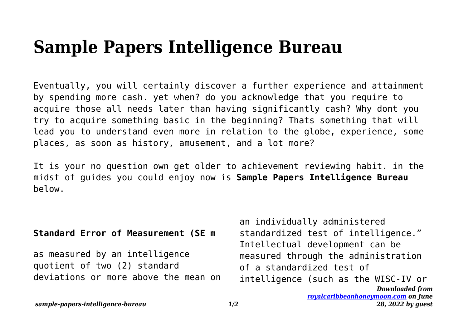## **Sample Papers Intelligence Bureau**

Eventually, you will certainly discover a further experience and attainment by spending more cash. yet when? do you acknowledge that you require to acquire those all needs later than having significantly cash? Why dont you try to acquire something basic in the beginning? Thats something that will lead you to understand even more in relation to the globe, experience, some places, as soon as history, amusement, and a lot more?

It is your no question own get older to achievement reviewing habit. in the midst of guides you could enjoy now is **Sample Papers Intelligence Bureau** below.

## **Standard Error of Measurement (SE m**

as measured by an intelligence quotient of two (2) standard deviations or more above the mean on

*Downloaded from [royalcaribbeanhoneymoon.com](http://royalcaribbeanhoneymoon.com) on June* an individually administered standardized test of intelligence." Intellectual development can be measured through the administration of a standardized test of intelligence (such as the WISC-IV or